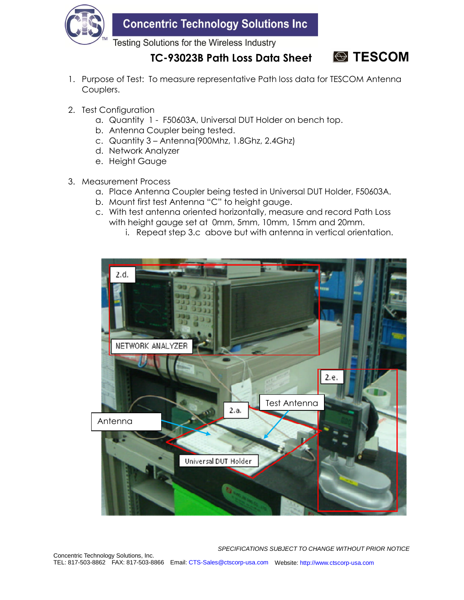

**Concentric Technology Solutions Inc** 

Testing Solutions for the Wireless Industry

**TC-93023B Path Loss Data Sheet**



- 1. Purpose of Test: To measure representative Path loss data for TESCOM Antenna Couplers.
- 2. Test Configuration
	- a. Quantity 1 F50603A, Universal DUT Holder on bench top.
	- b. Antenna Coupler being tested.
	- c. Quantity 3 Antenna(900Mhz, 1.8Ghz, 2.4Ghz)
	- d. Network Analyzer
	- e. Height Gauge
- 3. Measurement Process
	- a. Place Antenna Coupler being tested in Universal DUT Holder, F50603A.
	- b. Mount first test Antenna "C" to height gauge.
	- c. With test antenna oriented horizontally, measure and record Path Loss with height gauge set at 0mm, 5mm, 10mm, 15mm and 20mm.
		- i. Repeat step 3.c above but with antenna in vertical orientation.